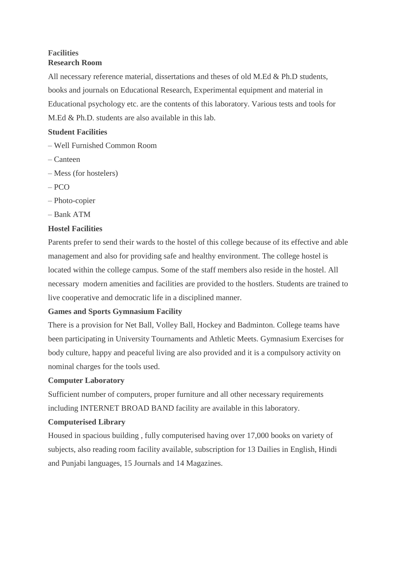# **Facilities Research Room**

All necessary reference material, dissertations and theses of old M.Ed & Ph.D students, books and journals on Educational Research, Experimental equipment and material in Educational psychology etc. are the contents of this laboratory. Various tests and tools for M.Ed & Ph.D. students are also available in this lab.

### **Student Facilities**

- Well Furnished Common Room
- Canteen
- Mess (for hostelers)
- $PCO$
- Photo-copier
- Bank ATM

# **Hostel Facilities**

Parents prefer to send their wards to the hostel of this college because of its effective and able management and also for providing safe and healthy environment. The college hostel is located within the college campus. Some of the staff members also reside in the hostel. All necessary modern amenities and facilities are provided to the hostlers. Students are trained to live cooperative and democratic life in a disciplined manner.

### **Games and Sports Gymnasium Facility**

There is a provision for Net Ball, Volley Ball, Hockey and Badminton. College teams have been participating in University Tournaments and Athletic Meets. Gymnasium Exercises for body culture, happy and peaceful living are also provided and it is a compulsory activity on nominal charges for the tools used.

### **Computer Laboratory**

Sufficient number of computers, proper furniture and all other necessary requirements including INTERNET BROAD BAND facility are available in this laboratory.

### **Computerised Library**

Housed in spacious building , fully computerised having over 17,000 books on variety of subjects, also reading room facility available, subscription for 13 Dailies in English, Hindi and Punjabi languages, 15 Journals and 14 Magazines.